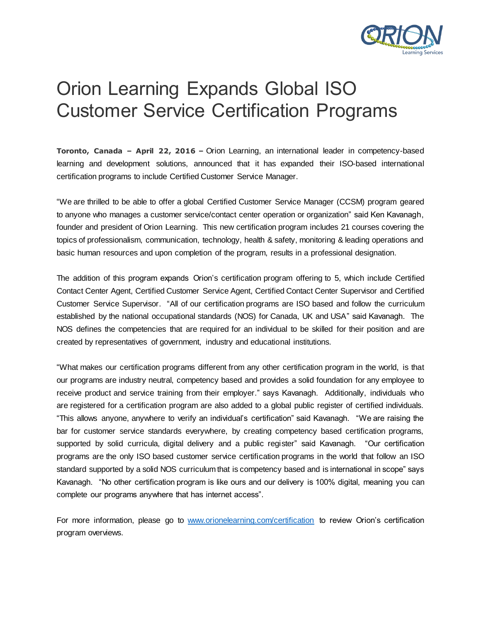

## Orion Learning Expands Global ISO Customer Service Certification Programs

**Toronto, Canada – April 22, 2016 –** Orion Learning, an international leader in competency-based learning and development solutions, announced that it has expanded their ISO-based international certification programs to include Certified Customer Service Manager.

"We are thrilled to be able to offer a global Certified Customer Service Manager (CCSM) program geared to anyone who manages a customer service/contact center operation or organization" said Ken Kavanagh, founder and president of Orion Learning. This new certification program includes 21 courses covering the topics of professionalism, communication, technology, health & safety, monitoring & leading operations and basic human resources and upon completion of the program, results in a professional designation.

The addition of this program expands Orion's certification program offering to 5, which include Certified Contact Center Agent, Certified Customer Service Agent, Certified Contact Center Supervisor and Certified Customer Service Supervisor. "All of our certification programs are ISO based and follow the curriculum established by the national occupational standards (NOS) for Canada, UK and USA" said Kavanagh. The NOS defines the competencies that are required for an individual to be skilled for their position and are created by representatives of government, industry and educational institutions.

"What makes our certification programs different from any other certification program in the world, is that our programs are industry neutral, competency based and provides a solid foundation for any employee to receive product and service training from their employer." says Kavanagh. Additionally, individuals who are registered for a certification program are also added to a global public register of certified individuals. "This allows anyone, anywhere to verify an individual's certification" said Kavanagh. "We are raising the bar for customer service standards everywhere, by creating competency based certification programs, supported by solid curricula, digital delivery and a public register" said Kavanagh. "Our certification programs are the only ISO based customer service certification programs in the world that follow an ISO standard supported by a solid NOS curriculum that is competency based and is international in scope" says Kavanagh. "No other certification program is like ours and our delivery is 100% digital, meaning you can complete our programs anywhere that has internet access".

For more information, please go to [www.orionelearning.com/certification](http://www.orionelearning.com/certification) to review Orion's certification program overviews.